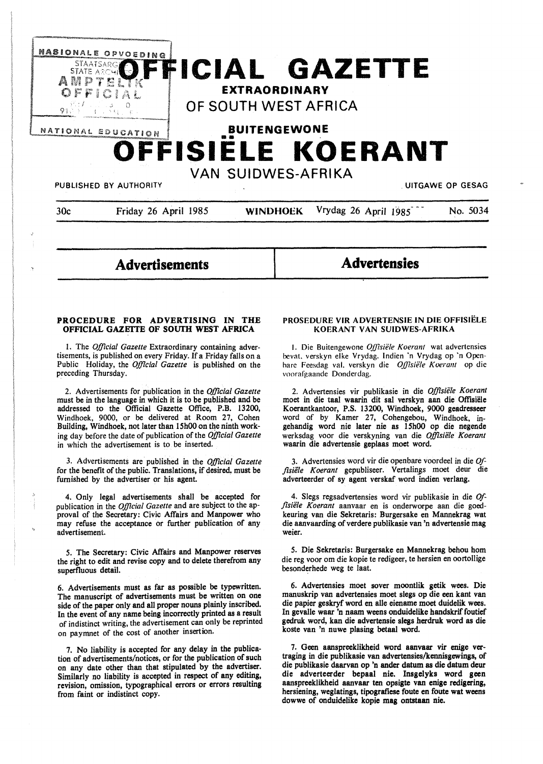

**Advertisements** 

**Advertensies** 

## **PROCEDURE FOR ADVERTISING IN THE OFFICIAL GAZETTE OF SOUTH WEST AFRICA**

I. The *Official Gazette* Extraordinary containing advertisements, is published on every Friday. If a Friday falls on a Public Holiday, the *Official Gazette* is published on the preceding Thursday.

2. Advertisements for publication in the *Official Gazette*  must be in the language in which it is to be published and be addressed to the Official Gazette Office, P.B. 13200, Windhoek, 9000, or be delivered at Room 27, Cohen Building, Windhoek, not later than 15h00 on the ninth working day before the date of publication of the *Official Gazette*  in which the advertisement is to be inserted.

3. Advertisements are published in the *Official Gazette*  for the benefit of the public. Translations, if desired, must be furnished by the advertiser or his agent.

4. Only legal advertisements shall be accepted for publication in the *Official Gazette* and are subject to the approval of the Secretary: Civic Affairs and Manpower who may refuse the acceptance or further publication of any advertisement.

**5. The Secretary: Civic Affairs and Manpower reserves the right to edit and revise copy and to delete therefrom any superfluous detail.** 

**6. Advertisements must as far as possible be typewritten. The manuscript of advertisements must be written on one side of the paper only and all proper nouns plainly inscribed. In the event of any name being incorrectly printed as a result**  of indistinct writing, the advertisement can only be **reprinted**  on paymnet of the cost of **another insertion.** 

7. **No liability is accepted for any delay** in **the publication of advertisements/notices, or for the publication of such on any date other than that stipulated by the advertiser. Similarly no liability is accepted in respect of any editing, revision, omission, typographical errors or errors resulting from faint or indistinct copy.** 

## **PROSEDURE VIR ADVERTENSIE IN DIE OFFISIELE KOERANT VAN SUIDWES-AFRIKA**

I. Die Buitengewone *Oj}tsiele Koeram* wat advertensies hevat. verskyn elke Vrydag. Indien ·n Vrydag op ·n Openhare Feesdag val. verskyn die *OJJ7siele Koerant* op die voorafgaande Donderdag.

2. Advertensies vir publikasie in die Offisiële Koerant moet in die taal waarin dit sal verskyn aan die Offisiele Koerantkantoor, P.S. 13200, Windhoek, 9000 geadresseer word of by Kamer 27, Cohengebou, Windhoek, ingehandig word nie later nie as 15h00 op die negende werksdag voor die verskyning van die Offisiële Koerant waarin die advertensie geplaas moet word.

3. Advertensies word vir die openbare voordeel in die *Offisii!le Koerant* gepubliseer. Vertalin\_gs moet deur die adverteerder of sy agent verskaf word indien verlang.

4. Slegs regsadvertensies word vir publikasie in die *Offisiele Koerant* aanvaar en is onderworpe aan die goedkeuring van die Sekretaris: Burgersake en Mannekrag wat die aanvaarding of verdere publikasie van 'n advertensie mag weier.

5. Die Sekretaris: Burgersake en Mannekrag behou horn die reg voor om die kopie te redigeer, te hersien en oortollige besonderhede weg te laat.

6. Advertensies moet sover moontlik getik wees. Die manuskrip van advertensies moet slegs op die een kant van die papier geskryf word en alle eiename moet duidelik wees. In gevalle waar 'n naam weens onduidelike handskrif foutief gedruk word, kan die advertensie slegs herdruk word as die koste van 'n nuwe plasing betaal word.

7. Geen aanspreeklikheid word aanvaar vir enige vertraging in die publikasie van advertensies/kennisgewings, of die publikasie daarvan op 'n ander datum as die datum deur die adverteerder bepaal nie. lnsgelyks word geen aanspreeklikheid aanvaar ten opsigte van enige redigering, hersiening, weglatings, tipografiese foute en foute wat weens dowwe of onduidelike kopie mag ontstaan nie.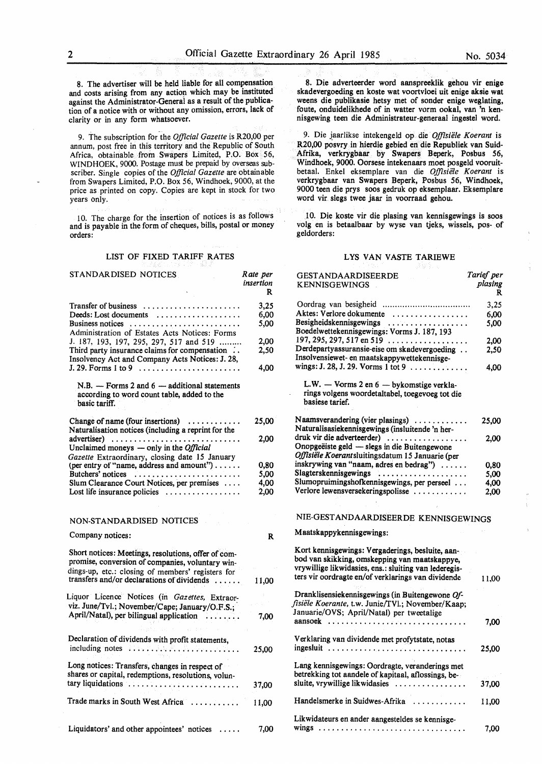8. The advertiser will be held liable for all compensation and costs arising from any action which may be instituted against the Administrator-General as a result of the publication of a notice with or without any omission, errors, lack of clarity or in any form whatsoever.

9. The subscription for the *Official Gazette* is R20,00 per annum, post free in this territory and the Republic of South Africa, obtainable from Swapers Limited, P.O. Box 56, WINDHOEK, 9000. Postage must be prepaid by overseas subscriber. Single copies of the *Official Gazette* are obtainable from Swapers Limited, P.O. Box 56, Windhoek, 9000, at the price as printed on copy. Copies are kept in stock for two years only.

10. The charge for the insertion of notices is as follows and is payable in the form of cheques, bills, postal or money orders:

## LIST OF FIXED TARIFF RATES

#### STANDARDISED NOTICES Transfer of business ...................... Deeds: Lost documents ................... Business notices ......................... Administration of Estates Acts Notices: Forms J. 187, 193, 197, 295, 297, 517 and 519 ......... Third party insurance claims for compensation  $\therefore$ Insolvency Act and Company Acts Notices: J. 28, J. 29. Forms 1 to 9 ...................... .  $N.B. -$  Forms 2 and  $6 -$  additional statements according to word count table, added to the basic tariff. Change of name (four insertions) ........... Naturalisation notices (including a reprint for the advertiser) .............................. Unclaimed moneys - only in the *Official Gazette* Extraordinary, closing date 15 January {per entry of "name, address and amount") ..... . Butchers' notices ........................ Slum Clearance Court Notices, per premises ... . Lost life insurance policies ................. NON-STANDARDISED NOTICES Company notices: *Rate per insertion*  R 3,25 6,00 5,00 2,00 2,50 4,00 25,00 2,00 0,80 *5,00*  4,00 2,00 R Short notices: **Meetings,** resolutions, offer of compromise, conversion of companies, voluntary windings-up, etc.: closing of members' registers for transfers and/or declarations of dividends . . . . . . 11,00 Liquor Licence Notices (in *Gazettes,* Extraorviz. June/Tvl.; November/Cape; January/O.F.S.; April/Natal), per bilingual application . . . . . . . . 7,00 Declaration of dividends with profit statements, including notes . . . . . . . . . . . . . . . . . . . . . . . . . 25,00 Long notices: Transfers, changes in respect of shares or capital, redemptions, resolutions, voluntary liquidations . . . . . . . . . . . . . . . . . . . . . . . . . 37,00 Trade marks in South West Africa . . . . . . . . . . . 11,00

8. Die adverteerder word aanspreeklik gehou vir **enige**  skadevergoeding en koste wat voortvloei uit enige aksie wat weens die publikasie hetsy met of sonder enige weglating, foute, onduidelikhede of in watter vorm ookal, van 'n kennisgewing teen die Administrateur-generaal ingestel word.

9. Die jaarlikse intekengeld op die *Offisiiile Koerant* is R20,00 posvry in hierdie gebied en die Republiek van Suid-Afrika, verkrygbaar by Swapers Beperk, Posbus 56, Windhoek, 9000. Oorsese intekenaars moet posgeld vooruitbetaal. Enkel eksemplare van die Offisiele Koerant is verkrygbaar van Swapers Beperk, Posbus 56, Windhoek, 9000 teen die prys soos gedruk op eksemplaar. Eksemplare word vir slegs twee jaar in voorraad gehou.

.I 0. Die koste vir die plasing van kennisgewings is soos volg en is betaalbaar by wyse van tjeks, wissels, pos- of geldorders:

#### LYS VAN VASTE TARIEWE

| <b>GESTANDAARDISEERDE</b><br><b>KENNISGEWINGS</b>                                                                                                                                                                | Tarief per<br>plasing<br>R |
|------------------------------------------------------------------------------------------------------------------------------------------------------------------------------------------------------------------|----------------------------|
|                                                                                                                                                                                                                  | 3,25                       |
| Aktes: Verlore dokumente                                                                                                                                                                                         | 6,00                       |
| Besigheidskennisgewings<br>Boedelwettekennisgewings: Vorms J. 187, 193                                                                                                                                           | 5,00                       |
| 197, 295, 297, 517 en 519 $\dots$                                                                                                                                                                                | 2,00                       |
| Derdepartyassuransie-eise om skadevergoeding<br>Insolvensiewet- en maatskappywettekennisge-<br>wings: J. 28, J. 29. Vorms 1 tot 9 $\dots \dots \dots$                                                            | 2,50                       |
| L.W. - Vorms 2 en 6 - bykomstige verkla-<br>rings volgens woordetaltabel, toegevoeg tot die<br>basiese tarief.                                                                                                   | 4,00                       |
| Naamsverandering (vier plasings)<br>Naturalisasiekennisgewings (insluitende 'n her-                                                                                                                              | 25,00                      |
| druk vir die adverteerder)<br>Onopgeëiste geld — slegs in die Buitengewone<br>Offisiële Koerantsluitingsdatum 15 Januarie (per                                                                                   | 2,00                       |
| inskrywing van "naam, adres en bedrag")                                                                                                                                                                          | 0,80                       |
| Slagterskennisgewings                                                                                                                                                                                            | 5,00                       |
| Slumopruimingshofkennisgewings, per perseel                                                                                                                                                                      | 4.00                       |
| Verlore lewensversekeringspolisse                                                                                                                                                                                | 2.00                       |
| NIE-GESTANDAARDISEERDE KENNISGEWINGS                                                                                                                                                                             |                            |
| Maatskappykennisgewings:                                                                                                                                                                                         |                            |
| Kort kennisgewings: Vergaderings, besluite, aan-<br>bod van skikking, omskepping van maatskappye,<br>vrywillige likwidasies, ens.: sluiting van lederegis-<br>ters vir oordragte en/of verklarings van dividende | 11,00                      |
| Dranklisensiekennisgewings (in Buitengewone Of-<br>fisiële Koerante, t.w. Junie/TVl.; November/Kaap;<br>Januarie/OVS; April/Natal) per tweetalige                                                                |                            |
| aansoek                                                                                                                                                                                                          | 7.00                       |
| Verklaring van dividende met profytstate, notas<br>ingesluit                                                                                                                                                     | 25,00                      |
| Lang kennisgewings: Oordragte, veranderings met<br>betrekking tot aandele of kapitaal, aflossings, be-<br>sluite, vrywillige likwidasies                                                                         | 37,00                      |
| Handelsmerke in Suidwes-Afrika                                                                                                                                                                                   | 11,00                      |
| Likwidateurs en ander aangesteldes se kennisge-                                                                                                                                                                  | 7.00                       |

Liquidators' and other appointees' notices ..... 7,00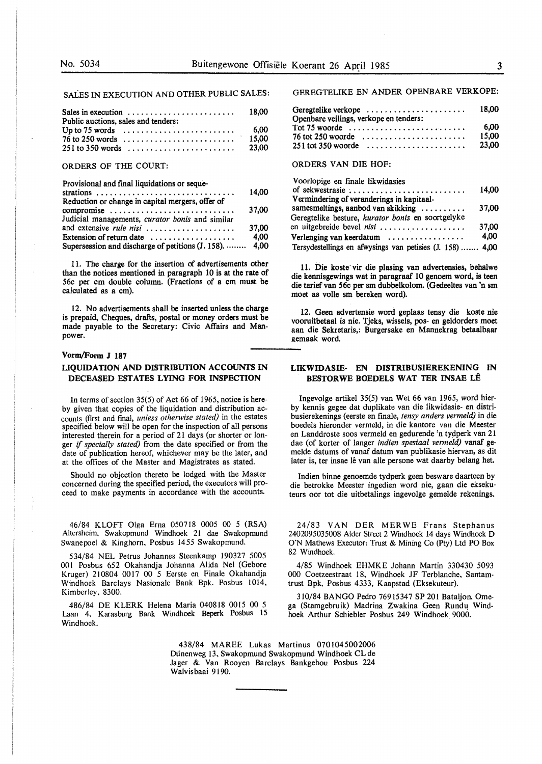SALES IN EXECUTION AND OTHER PUBLIC SALES:

| Public auctions, sales and tenders:                                           |       |
|-------------------------------------------------------------------------------|-------|
| Up to 75 words $\ldots \ldots \ldots \ldots \ldots \ldots \ldots \ldots$ 6,00 |       |
|                                                                               | 15.00 |
|                                                                               | 23.00 |

## ORDERS OF THE COURT:

Provisional and final liquidations or seque-

|                                                          | 14.00 |
|----------------------------------------------------------|-------|
| Reduction or change in capital mergers, offer of         |       |
| compromise                                               | 37.00 |
| Judicial managements, curator bonis and similar          |       |
| and extensive <i>rule nisi</i>                           | 37.00 |
| Extension of return date $\dots \dots \dots \dots \dots$ | 4,00  |
| Supersession and discharge of petitions (J. 158).  4,00  |       |

11. The charge for the insertion of advertisements other than the notices mentioned in paragraph 10 is at the rate of 56c per cm double column. (Fractions of a cm must be calculated as a cm).

12. No advertisements shall be inserted unless the charge is prepaid, Cheques, drafts, postal or money orders must be made payable to the Secretary: Civic Affairs and Manpower.

## **Vorm/Form J 187**

## **LIQUIDATION AND DISTRIBUTION ACCOUNTS IN DECEASED ESTATES LYING FOR INSPECTION**

In terms of section 35(5) of Act 66 of 1965, notice is hereby given that copies of the liquidation and distribution accounts (first and final, *unless otherwise stated)* in the estates specified below will be open for the inspection of all persons interested therein for a period of 21 days (or shorter or longer if *specially stated)* from the date specified or from the date of publication hereof, whichever may be the later, and at the offices of the Master and Magistrates as stated.

Should no objection thereto be lodged with the Master concerned during the specified period, the executors will proceed to make payments in accordance with the accounts.

46/84 KLOFT Olga Erna 050718 0005 00 5 **(RSA)**  Altersheim. Swakopmund Windhoek 21 dae Swakopmund Swanepoel & Kinghorn. Posbus 1455 Swakopmund.

534/84 NEL Petrus Johannes Steenkamp 190327 5005 001 Posbus 652 Okahandja Johanna Alida Nel (Gebore Kruger) 210804 0017 00 5 Eerste en Finale Okahandja Windhoek Barclays Nasionale Bank Bpk. Posbus 1014, Kimberley. 8300.

486/84 DE KLERK Helena Maria 040818 0015 00 5 Laan 4, Karasburg Bank Windhoek Beperk Posbus 15 Windhoek.

GEREGTELIKE EN ANDER OPENBARE VERKOPE:

| Geregtelike verkope $\ldots \ldots \ldots \ldots \ldots \ldots$                         | 18.00          |
|-----------------------------------------------------------------------------------------|----------------|
| Openbare veilings, verkope en tenders:                                                  | 6.00           |
| $76$ tot 250 woorde $\ldots \ldots \ldots \ldots \ldots \ldots$<br>$251$ tot 350 woorde | 15.00<br>23.00 |

## ORDERS VAN DIE HOF:

| Voorlopige en finale likwidasies                          |       |
|-----------------------------------------------------------|-------|
| of sekwestrasie,                                          | 14.00 |
| Vermindering of veranderings in kapitaal-                 |       |
| samesmeltings, aanbod van skikking                        | 37.00 |
| Geregtelike besture, kurator bonis en soortgelyke         |       |
| en uitgebreide bevel nisi                                 | 37.00 |
| Verlenging van keerdatum                                  | 4.00  |
| Tersydestellings en afwysings van petisies (J. 158)  4,00 |       |

11. Die koste vir die plasing van advertensies, behalwe die kennisgewings wat in paragraaf 10 genoem word, is teen die tarief van 56c per sm dubbelkolom. (Gedeeltes van 'n sm moet as voile sm bereken word).

12. Geen advertensie word geplaas tensy die koste nie vooruitbetaal is nie. Tjeks, wissels, pos- en geldorders moet aan die Sekretaris,: Burgersake en Mannekrag betaalbaar gemaak word.

## **LIKWIDASIE- EN DISTRIBUSIEREKENING IN BESTORWE BOEDELS WAT TER INSAE LÊ**

lngevolge artikel 35(5) van Wet 66 van 1965, word hierby kennis gegee dat duplikate van die likwidasie- en distribusierekenings (eerste en finale, *tensy anders vermeld)* in die boedels hieronder vermeld, in die kantore van die Meester en Landdroste soos vermeld en gedurende 'n tydperk van 21 dae (of korter of !anger *indien spesiaal vermeld)* vanaf gemelde datums of vanaf datum van publikasie hiervan, as dit later is, ter insae lê van alle persone wat daarby belang het.

Indien binne genoemde tydperk geen besware daarteen by die betrokke Meester ingedien word nie, gaan die eksekuteurs oor tot die uitbetalings ingevolge gemelde rekenings.

24/83 VAN DER MER WE Frans Stephanus 2402095035008 Alder Street 2 Windhoek 14 days Windhoek D O'N Mathews Executon Trust & Mining Co (Pty) Ltd PO Box 82 Windhoek.

4/85 Windhoek EHMKE Johann Martin 330430 5093 000 Coetzeestraat 18, Windhoek JF Terblanche, Santamtrust Bpk, Posbus 4333, Kaapstad (Eksekuteur).

310/84 **BANGO** Pedro 76915347 **SP** 201 Bataljon. Omega (Stamgebruik) Madrina Zwakina Geen Rundu Windhoek Arthur Schiebler Posbus 249 Windhoek 9000.

438/84 MAREE Lukas Martinus 0701045002006 Dunenweg 13, Swakopmund Swakopmund Windhoek CL de Jager & Van Rooyen Barclays Bankgebou Posbus 224 Walvisbaai 9190.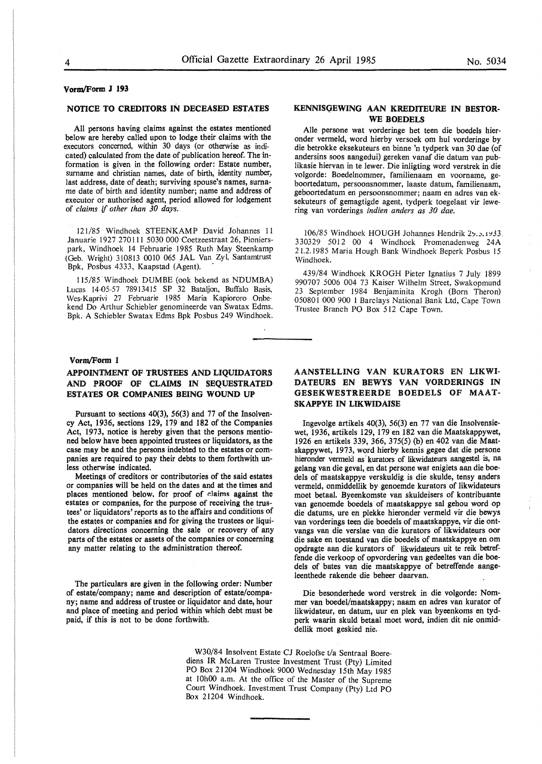# **Vorm/Form J 193**

## **NOTICE TO CREDITORS IN DECEASED ESTATES**

All persons having claims against the estates mentioned below are hereby called upon to lodge their claims with the executors concerned, within 30 days (or otherwise as indicated) calculated from the date of publication hereof. The information is given in the following order: Estate number, surname and christian names, date of birth, identity number, last address, date of death; surviving spouse's names, surname date of birth and identity number; name and address of executor or authorised agent, period allowed for lodgement of *claims* if *other than 30 days.* 

121/85 Windhoek STEENKAMP David Johannes 11 Januarie 1927 270111 5030 000 Coetzeestraat 26, Pionierspark, Windhoek 14 Februarie 1985 Ruth May Steenkamp (Geb. Wright) 310813 0010 065 JAL Van Zyl, Santamtrust Bpk, Posbus 4333, Kaapstad (Agent).

115/85 Windhoek DUMBE (ook bekend as NDUMBA) Lucas 14-05-57 78913415 SP 32 Bataljon, Buffalo Basis, Wes-Kaprivi 27 Februarie 1985 Maria Kapiororo Onbekend Do Arthur Schiebler genomineerde van Swatax Edms. Bpk. A Schiebler Swatax Edms Bpk Posbus 249 Windhoek.

#### **Vorm/Fonn 1**

# **APPOINTMENT OF TRUSTEES AND LIQUIDATORS AND :PROOF OF CLAIMS IN SEQUESTRATED ESTATES OR COMPANIES BEING WOUND UP**

Pursuant to sections 40(3), 56(3) and 77 of the Insolvency Act, 1936, sections 129, 179 and 182 of the Companies Act, 1973, notice is hereby given that the persons mentioned below have been appointed trustees or liquidators, as the case may be and the persons indebted to the estates or companies are required to pay their debts to them forthwith unless otherwise indicated.

Meetings of creditors or contributories of the said estates or companies will be held on the dates and at the times and places mentioned below. for proof of claims against the estates or companies, for the purpose of receiving the trustees' or liquidators' reports as to the affairs and conditions of the estates or companies and for giving the trustees or liquidators directions concerning the sale or recovery of any parts of the estates or assets of the companies or concerning any matter relating to the administration thereof.

The particulars are given in the following order: Number of estate/company; name and description of estate/company; name and address of trustee or liquidator and date, hour and place of meeting and period within which debt must be paid, if this is not to be done forthwith.

## **KENNISQEWING AAN KREDITEURE IN BESTOR-WE BOEDELS**

Alie persone wat vorderinge het teen die boedels hieronder vermeld, word hierby versoek om hul vorderinge by die betrokke eksekuteurs en binne 'n tydperk van 30 dae (of andersins soos aangedui) gereken vanaf die datum van publikasie hiervan in te lewer. Die inligting word verstrek in die volgorde: Boedelnommer, familienaam en voorname, geboortedatum, persoonsnommer, laaste datum, familienaam, geboortedatum en persoonsnommer; naam en adres van eksekuteurs of gemagtigde agent, tydperk toegelaat vir lewering van vorderings *indien anders as 30 dae.* 

106/85 Windhoek HOUGH Johannes Hendrik 2y. 5, 1933. 330329 5012 00 4 Windhoek Promenadenweg 24A 21.2.1985 Maria Hough Bank Windhoek Beperk Posbus 15 Windhoek.

439/84 Windhoek KROGH Pieter Ignatius 7 July 1899 990707 5006 004 73 Kaiser Wilhelm Street, Swakopmund 23 September 1984 Benjaminita Krogh (Born Theron) 050801 000 900 1 Barclays National Bank Ltd, Cape Town Trustee Branch PO Box 512 Cape Town.

## **AANSTELLING VAN KURATORS** EN **LIKWI-DATEURS EN BEWYS VAN VORDERINGS IN GESEKWESTREERDE BOEDELS OF MAAT-SKAPPYE IN LIKWIDAISE**

Ingevolge artikels 40(3), 56(3) en 77 van die Insolvensiewet, 1936, artikels 129, 179 en 182 van die Maatskappywet, 1926 en artikels 339, 366, 375(5) (b) en 402 van die Maatskappywet, 1973, word hierby kennis gegee dat die persone hieronder vermeld as kurators of likwidateurs aangestel is, na gelang van die geval, en dat persone wat enigiets aan die boedels of maatskappye verskuldig is die skulde, tensy anders vermeld, onmiddellik by genoemde kurators of likwidateurs moet betaal. Byeenkomste van skuldeisers of kontribuante van genoemde boedels of maatskappye sal gehou word op die datums, ure en plekke hieronder vermeld vir die bewys van vorderings teen die boedels of maatskappye, vir die ontvangs van die verslae van die kurators of likwidateurs oor die sake en toestand van die boedels of maatskappye en om opdragte aan die kurators of likwidateurs uit te reik betreffende die verkoop of opvordering van gedeeltes van die boedels of bates van die maatskappye of betreffende aangeleenthede rakende die beheer daarvan.

Die besonderhede word verstrek in die volgorde: Nommer van boedel/maatskappy; naam en adres van kurator of likwidateur, en datum, uur en plek van byeenkoms en tydperk waarin skuld betaal moet word, indien dit nie onmiddellik moet geskied nie.

W30/84 Insolvent Estate CJ Roelofse t/a Sentraal Boerediens IR McLaren Trustee Investment Trust (Pty) Limited PO Box 21204 Windhoek 9000 Wednesday 15th May 1985 at 10h00 a.m. At the office of the Master of the Supreme Court Windhoek. Investment Trust Company (Pty) Ltd PO Box 21204 Windhoek.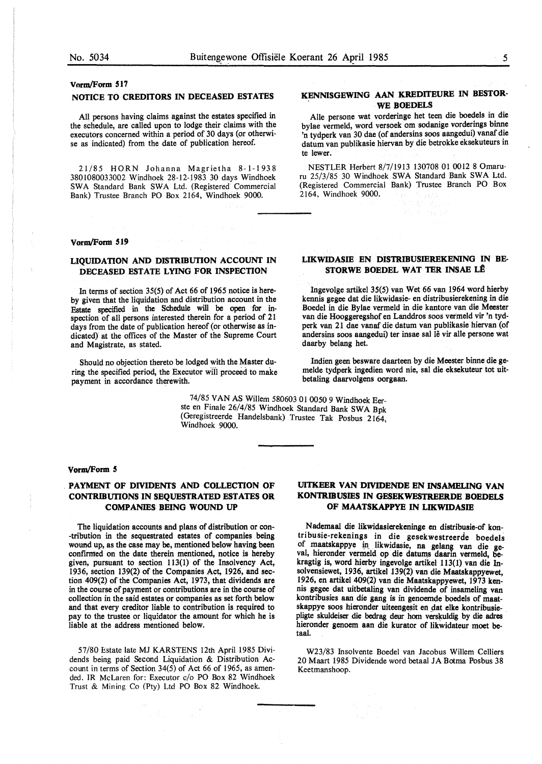#### **Vnrm/Form 517**

## **NOTICE TO CREDITORS IN DECEASED ESTATES**

All persons having claims against the estates specified in the schedule, are called upon to lodge their claims with the executors concerned within a period of 30 days (or otherwise as indicated) from the date of publication hereof.

21/85 HORN Johanna Magrietha 8-1-1938 3801080033002 Windhoek 28-12-1983 30 days Windhoek SWA Standard Bank SWA Ltd. (Registered Commercial Bank) Trustee Branch PO Box 2164, Windhoek 9000.

#### **Vorm/Form 519**

## **LIQUIDATION AND DISTRIBUTION ACCOUNT IN DECEASED ESTATE LYING FOR INSPECTION**

In terms of section 35(5) of Act 66 of 1965 notice is hereby given that the liquidation and distribution account in the Estate specified in the Schedule will be open for inspection of all persons interested therein for a period of 21 days from the date of publication hereof (or otherwise as indicated} at the offices of the Master of the Supreme Court and Magistrate, as stated.

Should no objection thereto be lodged with the Master during the specified period, the Executor wiil proceed to make payment in accordance therewith.

> 74/85 VAN AS Willem 580603 01 0050 9 Windhoek Eerste en Finale 26/4/85 Windhoek Standard Bank SWA Bpk (Geregistreerde Handelsbank) Trustee Tak Posbus 2164, Windhoek 9000.

#### **vorm/Form** *5*

# **PAYMENT OF DIVIDENTS AND COLLECTION OF CONTRIBUTIONS IN SEQUESTRATED ESTATES OR COMPANIBS BEING WOUND UP**

The liquidation accounts and plans of distribution or con- -tribution in the sequestrated estates of companies being wound up, as the case may be, mentioned below having been confirmed on the date therein mentioned, notice is hereby given, pursuant to section 113(1) of the Insolvency Act, 1936, section 139(2) of the Companies Act, 1926, and section 409(2) of the Companies Act, 1973, that dividends are in the course of payment or contributions are in the course of collection in the said estates or companies as set forth below and that every creditor liable to contribution is required to pay to the trustee or liqu:dator the amount for which he is liable at the address mentioned below.

57/80 Estate late MJ KARSTENS 12th April 1985 Dividends being paid Second Liquidation & Distribution Account in terms of Section  $34(5)$  of Act 66 of 1965, as amended. IR McLaren for: Executor c/o PO Box 82 Windhoek Trust & Mining Co (Pty) Ltd PO Box 82 Windhoek.

# **UITKEER VAN DIVIDENDE EN INSAMELING VAN KONTRIBUSIES IN GESEKWESTREERDE BOEDELS OF MAATSKAPPYE IN LIKWIDASIB**

Nademaal die likwidasierekeninge en distribusie-of kontribusie-rekenings in die gesekwestreerde boedels of maatskappye in likwidasie, na gelang van die ge-<br>val, hieronder vermeld op die datums daarm vermeld, bekragtig is, word hierby ingevolge artikel 113(1) van die Insolvensiewet, 1936, artikel 139(2) van die Maatskappyewet, 1926, en artikel 409(2) van die Maatskappyewet, 1973 kennis gegee dat uitbetaling van dividende of insameling van kontribusies aan die gang is in genoemde boedels of maatskappye soos hieronder uiteengesit en dat elke kontribusiepligte skuldeiser die bedrag deur hom verskuldig by die adres hieronder genoem aan die kurator of likwidateur moet betaal.

W23/83 Insolvente Boedel van Jacobus Willem Celliers 20 Maart 1985 Dividende word betaal JA Botma Posbus 38 Keetmanshoop.

# **KENNISGEWING AAN KREDITEURE** IN **BESTOR-WE BOEDELS**

Aile persone wat vorderinge het teen die boedels in die bylae vermeld, word versoek om sodanige vorderings binne 'n tydperk van 30 dae (of andersins soos aangedui) vanaf die datum van publikasie hiervan by die betrokke eksekuteurs in te lewer.

NESTLER Herbert 8/7/1913 130708 01 0012 8 Omaruru 25/3/85 30 Windhoek SWA Standard Bank SWA Ltd. (Registered Commercial Bank) Trustee Branch PO Box 2164, Windhoek 9000.

## **LIKWIDASIE EN DISTRIBUSIEREKENING IN BE-STORWE BOEDEL WAT TER INSAE LÊ**

Ingevolge artikel 35(5) van Wet 66 van 1964 word hierby kennis gegee dat die likwidasie- en distribusierekening in die Boedel in die Bylae vermeld in die kantore van die Meester van die Hooggeregshof en Landdros soos vermeld vir 'n tydperk van 21 dae vanaf die datum van publikasie hiervan (of andersins soos aangedui) ter insae sal lê vir alle persone wat daarby belang het.

Indien geen besware daarteen by die Meester binne die gemelde tydperk ingedien word nie, sal die eksekuteur tot uitbetaling daarvolgens oorgaan.